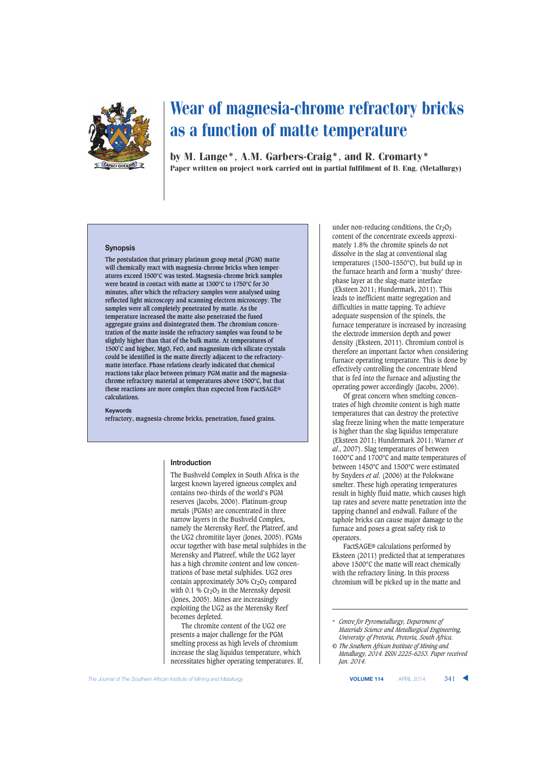

by M. Lange\*, A.M. Garbers-Craig\*, and R. Cromarty\* Paper written on project work carried out in partial fulfilment of B. Eng. (Metallurgy)

#### **Synopsis**

**The postulation that primary platinum group metal (PGM) matte will chemically react with magnesia-chrome bricks when temperatures exceed 1500°C was tested. Magnesia-chrome brick samples were heated in contact with matte at 1300°C to 1750°C for 30 minutes, after which the refractory samples were analysed using reflected light microscopy and scanning electron microscopy. The samples were all completely penetrated by matte. As the temperature increased the matte also penetrated the fused aggregate grains and disintegrated them. The chromium concentration of the matte inside the refractory samples was found to be slightly higher than that of the bulk matte. At temperatures of 1500˚C and higher, MgO, FeO, and magnesium-rich silicate crystals could be identified in the matte directly adjacent to the refractorymatte interface. Phase relations clearly indicated that chemical reactions take place between primary PGM matte and the magnesiachrome refractory material at temperatures above 1500°C, but that these reactions are more complex than expected from FactSAGE® calculations.**

**Keywords refractory, magnesia-chrome bricks, penetration, fused grains.**

#### **Introduction**

The Bushveld Complex in South Africa is the largest known layered igneous complex and contains two-thirds of the world's PGM reserves (Jacobs, 2006). Platinum-group metals (PGMs) are concentrated in three narrow layers in the Bushveld Complex, namely the Merensky Reef, the Platreef, and the UG2 chromitite layer (Jones, 2005). PGMs occur together with base metal sulphides in the Merensky and Platreef, while the UG2 layer has a high chromite content and low concentrations of base metal sulphides. UG2 ores contain approximately  $30\%$  Cr<sub>2</sub>O<sub>3</sub> compared with 0.1 %  $Cr<sub>2</sub>O<sub>3</sub>$  in the Merensky deposit (Jones, 2005). Mines are increasingly exploiting the UG2 as the Merensky Reef becomes depleted.

The chromite content of the UG2 ore presents a major challenge for the PGM smelting process as high levels of chromium increase the slag liquidus temperature, which necessitates higher operating temperatures. If, under non-reducing conditions, the  $Cr<sub>2</sub>O<sub>3</sub>$ content of the concentrate exceeds approximately 1.8% the chromite spinels do not dissolve in the slag at conventional slag temperatures (1500–1550°C), but build up in the furnace hearth and form a 'mushy' threephase layer at the slag-matte interface (Eksteen 2011; Hundermark, 2011). This leads to inefficient matte segregation and difficulties in matte tapping. To achieve adequate suspension of the spinels, the furnace temperature is increased by increasing the electrode immersion depth and power density (Eksteen, 2011). Chromium control is therefore an important factor when considering furnace operating temperature. This is done by effectively controlling the concentrate blend that is fed into the furnace and adjusting the operating power accordingly (Jacobs, 2006).

Of great concern when smelting concentrates of high chromite content is high matte temperatures that can destroy the protective slag freeze lining when the matte temperature is higher than the slag liquidus temperature (Eksteen 2011; Hundermark 2011; Warner *et al*., 2007). Slag temperatures of between 1600°C and 1700°C and matte temperatures of between 1450°C and 1500°C were estimated by Snyders *et al*. (2006) at the Polokwane smelter. These high operating temperatures result in highly fluid matte, which causes high tap rates and severe matte penetration into the tapping channel and endwall. Failure of the taphole bricks can cause major damage to the furnace and poses a great safety risk to operators.

FactSAGE® calculations performed by Eksteen (2011) predicted that at temperatures above 1500°C the matte will react chemically with the refractory lining. In this process chromium will be picked up in the matte and

<sup>\*</sup> *Centre for Pyrometallurgy, Department of Materials Science and Metallurgical Engineering, University of Pretoria, Pretoria, South Africa.*

*<sup>©</sup> The Southern African Institute of Mining and Metallurgy, 2014. ISSN 2225-6253. Paper received Jan. 2014.*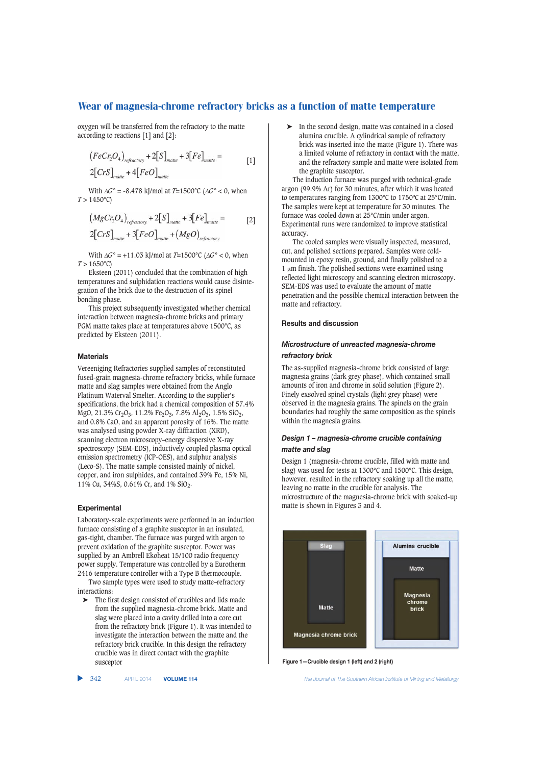oxygen will be transferred from the refractory to the matte according to reactions [1] and [2]:

$$
(FeCr2O4)refractory + 2[S]mate + 3[Fe]mate = [1]
$$
  
2[CrS]<sub>mate</sub> + 4[FeO]<sub>mate</sub>

With Δ*G*° = -8.478 kJ/mol at *T*=1500°C (Δ*G*° < 0, when  $T > 1450$ °C)

$$
(MgCr_2O_4)_{refractory} + 2[S]_{mate} + 3[Fe]_{mate} = [2]
$$
  
2[CrS]\_{mate} + 3[FeO]\_{mate} + (MgO)\_{refractory}

With Δ*G*° = +11.03 kJ/mol at *T*=1500°C (Δ*G*° < 0, when  $T > 1650$ °C)

Eksteen (2011) concluded that the combination of high temperatures and sulphidation reactions would cause disintegration of the brick due to the destruction of its spinel bonding phase.

This project subsequently investigated whether chemical interaction between magnesia-chrome bricks and primary PGM matte takes place at temperatures above 1500°C, as predicted by Eksteen (2011).

## **Materials**

Vereeniging Refractories supplied samples of reconstituted fused-grain magnesia-chrome refractory bricks, while furnace matte and slag samples were obtained from the Anglo Platinum Waterval Smelter. According to the supplier's specifications, the brick had a chemical composition of 57.4% MgO, 21.3% Cr<sub>2</sub>O<sub>3</sub>, 11.2% Fe<sub>2</sub>O<sub>3</sub>, 7.8% Al<sub>2</sub>O<sub>3</sub>, 1.5% SiO<sub>2</sub>, and 0.8% CaO, and an apparent porosity of 16%. The matte was analysed using powder X-ray diffraction (XRD), scanning electron microscopy–energy dispersive X-ray spectroscopy (SEM-EDS), inductively coupled plasma optical emission spectrometry (ICP-OES), and sulphur analysis (Leco-S). The matte sample consisted mainly of nickel, copper, and iron sulphides, and contained 39% Fe, 15% Ni, 11% Cu, 34%S, 0.61% Cr, and 1% SiO2.

#### **Experimental**

Laboratory-scale experiments were performed in an induction furnace consisting of a graphite susceptor in an insulated, gas-tight, chamber. The furnace was purged with argon to prevent oxidation of the graphite susceptor. Power was supplied by an Ambrell Ekoheat 15/100 radio frequency power supply. Temperature was controlled by a Eurotherm 2416 temperature controller with a Type B thermocouple.

Two sample types were used to study matte–refractory interactions:

➤ The first design consisted of crucibles and lids made from the supplied magnesia-chrome brick. Matte and slag were placed into a cavity drilled into a core cut from the refractory brick (Figure 1). It was intended to investigate the interaction between the matte and the refractory brick crucible. In this design the refractory crucible was in direct contact with the graphite susceptor

➤ In the second design, matte was contained in a closed alumina crucible. A cylindrical sample of refractory brick was inserted into the matte (Figure 1). There was a limited volume of refractory in contact with the matte, and the refractory sample and matte were isolated from the graphite susceptor.

The induction furnace was purged with technical-grade argon (99.9% Ar) for 30 minutes, after which it was heated to temperatures ranging from 1300°C to 1750ºC at 25°C/min. The samples were kept at temperature for 30 minutes. The furnace was cooled down at 25°C/min under argon. Experimental runs were randomized to improve statistical accuracy.

The cooled samples were visually inspected, measured, cut, and polished sections prepared. Samples were coldmounted in epoxy resin, ground, and finally polished to a 1 μm finish. The polished sections were examined using reflected light microscopy and scanning electron microscopy. SEM-EDS was used to evaluate the amount of matte penetration and the possible chemical interaction between the matte and refractory.

#### **Results and discussion**

# *Microstructure of unreacted magnesia-chrome refractory brick*

The as-supplied magnesia-chrome brick consisted of large magnesia grains (dark grey phase), which contained small amounts of iron and chrome in solid solution (Figure 2). Finely exsolved spinel crystals (light grey phase) were observed in the magnesia grains. The spinels on the grain boundaries had roughly the same composition as the spinels within the magnesia grains.

# *Design 1 – magnesia-chrome crucible containing matte and slag*

Design 1 (magnesia-chrome crucible, filled with matte and slag) was used for tests at 1300°C and 1500°C. This design, however, resulted in the refractory soaking up all the matte, leaving no matte in the crucible for analysis. The microstructure of the magnesia-chrome brick with soaked-up matte is shown in Figures 3 and 4.



**Figure 1—Crucible design 1 (left) and 2 (right)**

▲

342 APRIL 2014 **VOLUME 114** *The Journal of The Southern African Institute of Mining and Metallurgy*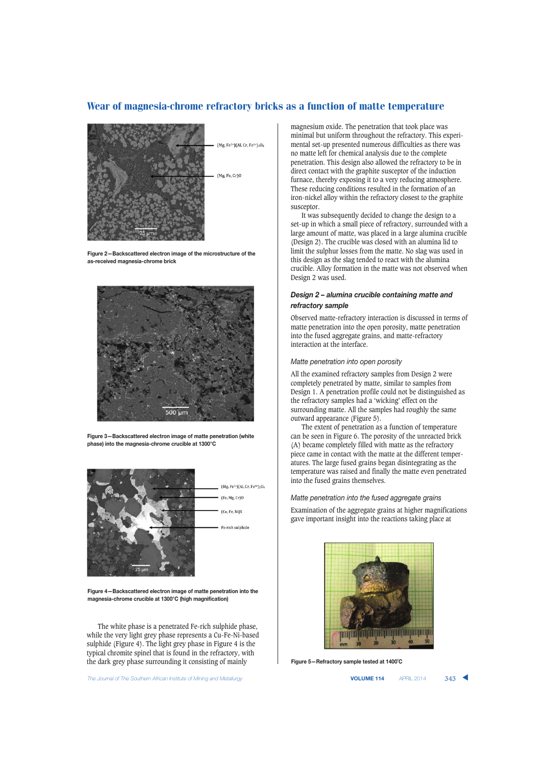

**Figure 2—Backscattered electron image of the microstructure of the as-received magnesia-chrome brick**



**Figure 3—Backscattered electron image of matte penetration (white phase) into the magnesia-chrome crucible at 1300°C**



**Figure 4—Backscattered electron image of matte penetration into the magnesia-chrome crucible at 1300°C (high magnification)**

The white phase is a penetrated Fe-rich sulphide phase, while the very light grey phase represents a Cu-Fe-Ni-based sulphide (Figure 4). The light grey phase in Figure 4 is the typical chromite spinel that is found in the refractory, with the dark grey phase surrounding it consisting of mainly

**The Journal of The Southern African Institute of Mining and Metallurgy <b>Victor Collection Contact APRIL 2014 343 VOLUME 114 APRIL 2014 343** 

magnesium oxide. The penetration that took place was minimal but uniform throughout the refractory. This experimental set-up presented numerous difficulties as there was no matte left for chemical analysis due to the complete penetration. This design also allowed the refractory to be in direct contact with the graphite susceptor of the induction furnace, thereby exposing it to a very reducing atmosphere. These reducing conditions resulted in the formation of an iron-nickel alloy within the refractory closest to the graphite susceptor.

It was subsequently decided to change the design to a set-up in which a small piece of refractory, surrounded with a large amount of matte, was placed in a large alumina crucible (Design 2). The crucible was closed with an alumina lid to limit the sulphur losses from the matte. No slag was used in this design as the slag tended to react with the alumina crucible. Alloy formation in the matte was not observed when Design 2 was used.

# *Design 2 – alumina crucible containing matte and refractory sample*

Observed matte-refractory interaction is discussed in terms of matte penetration into the open porosity, matte penetration into the fused aggregate grains, and matte-refractory interaction at the interface.

#### *Matte penetration into open porosity*

All the examined refractory samples from Design 2 were completely penetrated by matte, similar to samples from Design 1. A penetration profile could not be distinguished as the refractory samples had a 'wicking' effect on the surrounding matte. All the samples had roughly the same outward appearance (Figure 5).

The extent of penetration as a function of temperature can be seen in Figure 6. The porosity of the unreacted brick (A) became completely filled with matte as the refractory piece came in contact with the matte at the different temperatures. The large fused grains began disintegrating as the temperature was raised and finally the matte even penetrated into the fused grains themselves.

*Matte penetration into the fused aggregate grains*

Examination of the aggregate grains at higher magnifications gave important insight into the reactions taking place at



**Figure 5—Refractory sample tested at 1400˚C**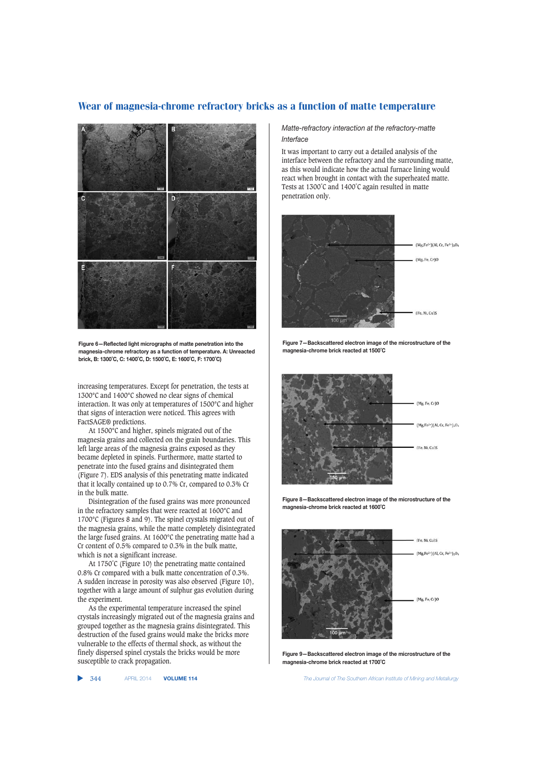

**Figure 6—Reflected light micrographs of matte penetration into the magnesia-chrome refractory as a function of temperature. A: Unreacted brick, B: 1300˚C, C: 1400˚C, D: 1500˚C, E: 1600˚C, F: 1700˚C)**

increasing temperatures. Except for penetration, the tests at 1300°C and 1400°C showed no clear signs of chemical interaction. It was only at temperatures of 1500°C and higher that signs of interaction were noticed. This agrees with FactSAGE® predictions.

At 1500°C and higher, spinels migrated out of the magnesia grains and collected on the grain boundaries. This left large areas of the magnesia grains exposed as they became depleted in spinels. Furthermore, matte started to penetrate into the fused grains and disintegrated them (Figure 7). EDS analysis of this penetrating matte indicated that it locally contained up to 0.7% Cr, compared to 0.3% Cr in the bulk matte.

Disintegration of the fused grains was more pronounced in the refractory samples that were reacted at 1600°C and 1700°C (Figures 8 and 9). The spinel crystals migrated out of the magnesia grains, while the matte completely disintegrated the large fused grains. At 1600°C the penetrating matte had a Cr content of 0.5% compared to 0.3% in the bulk matte, which is not a significant increase.

At 1750˚C (Figure 10) the penetrating matte contained 0.8% Cr compared with a bulk matte concentration of 0.3%. A sudden increase in porosity was also observed (Figure 10), together with a large amount of sulphur gas evolution during the experiment.

As the experimental temperature increased the spinel crystals increasingly migrated out of the magnesia grains and grouped together as the magnesia grains disintegrated. This destruction of the fused grains would make the bricks more vulnerable to the effects of thermal shock, as without the finely dispersed spinel crystals the bricks would be more susceptible to crack propagation.

#### ▲

## *Matte-refractory interaction at the refractory-matte Interface*

It was important to carry out a detailed analysis of the interface between the refractory and the surrounding matte, as this would indicate how the actual furnace lining would react when brought in contact with the superheated matte. Tests at 1300°C and 1400°C again resulted in matte penetration only.



**Figure 7—Backscattered electron image of the microstructure of the magnesia-chrome brick reacted at 1500˚C**



**Figure 8—Backscattered electron image of the microstructure of the magnesia-chrome brick reacted at 1600˚C**



**Figure 9—Backscattered electron image of the microstructure of the magnesia-chrome brick reacted at 1700˚C**

344 APRIL 2014 **VOLUME 114** *The Journal of The Southern African Institute of Mining and Metallurgy*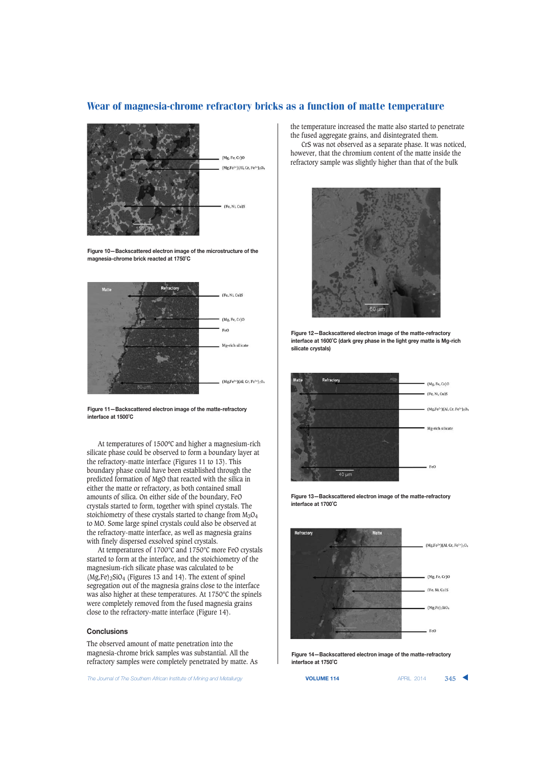

**Figure 10—Backscattered electron image of the microstructure of the magnesia-chrome brick reacted at 1750˚C**



**Figure 11—Backscattered electron image of the matte-refractory interface at 1500˚C**

At temperatures of 1500ºC and higher a magnesium-rich silicate phase could be observed to form a boundary layer at the refractory-matte interface (Figures 11 to 13). This boundary phase could have been established through the predicted formation of MgO that reacted with the silica in either the matte or refractory, as both contained small amounts of silica. On either side of the boundary, FeO crystals started to form, together with spinel crystals. The stoichiometry of these crystals started to change from  $M_3O_4$ to MO. Some large spinel crystals could also be observed at the refractory-matte interface, as well as magnesia grains with finely dispersed exsolved spinel crystals.

At temperatures of 1700°C and 1750°C more FeO crystals started to form at the interface, and the stoichiometry of the magnesium-rich silicate phase was calculated to be  $(Mg,Fe)_2$ SiO<sub>4</sub> (Figures 13 and 14). The extent of spinel segregation out of the magnesia grains close to the interface was also higher at these temperatures. At 1750°C the spinels were completely removed from the fused magnesia grains close to the refractory-matte interface (Figure 14).

#### **Conclusions**

The observed amount of matte penetration into the magnesia-chrome brick samples was substantial. All the refractory samples were completely penetrated by matte. As

The Journal of The Southern African Institute of Mining and Metallurgy **VOLUME 114 VOLUME 114** APRIL 2014 345

the temperature increased the matte also started to penetrate the fused aggregate grains, and disintegrated them. CrS was not observed as a separate phase. It was noticed,

however, that the chromium content of the matte inside the refractory sample was slightly higher than that of the bulk



**Figure 12—Backscattered electron image of the matte-refractory interface at 1600˚C (dark grey phase in the light grey matte is Mg-rich silicate crystals)**







**Figure 14—Backscattered electron image of the matte-refractory interface at 1750˚C**